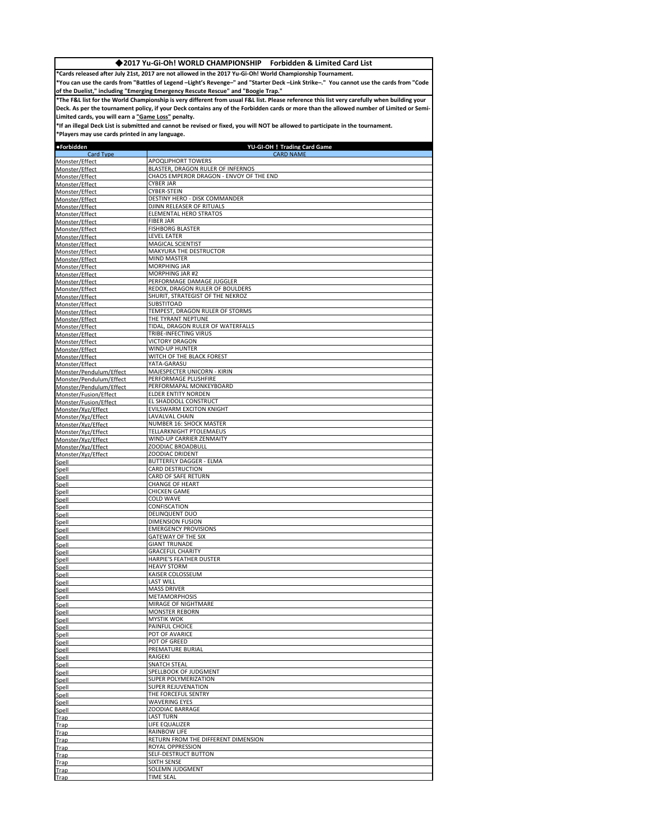## ◆**2017 Yu-Gi-Oh! WORLD CHAMPIONSHIP Forbidden & Limited Card List**

**\*Cards released after July 21st, 2017 are not allowed in the 2017 Yu-Gi-Oh! World Championship Tournament.**

**\*You can use the cards from "Battles of Legend –Light's Revenge–" and "Starter Deck –Link Strike–." You cannot use the cards from "Code of the Duelist," including "Emerging Emergency Rescute Rescue" and "Boogie Trap."**

**\*The F&L list for the World Championship is very different from usual F&L list. Please reference this list very carefully when building your Deck. As per the tournament policy, if your Deck contains any of the Forbidden cards or more than the allowed number of Limited or Semi-Limited cards, you will earn a "Game Loss" penalty.**

**\*If an illegal Deck List is submitted and cannot be revised or fixed, you will NOT be allowed to participate in the tournament.**

**\*Players may use cards printed in any language.** 

| •Forbidden                                       | YU-GI-OH! Trading Card Game                           |
|--------------------------------------------------|-------------------------------------------------------|
| Card Type<br>Monster/Effect                      | <b>CARD NAME</b><br>APOQLIPHORT TOWERS                |
| Monster/Effect                                   | BLASTER, DRAGON RULER OF INFERNOS                     |
| Monster/Effect                                   | CHAOS EMPEROR DRAGON - ENVOY OF THE END               |
| Monster/Effect                                   | <b>CYBER JAR</b>                                      |
| Monster/Effect                                   | CYBER-STEIN                                           |
| Monster/Effect                                   | DESTINY HERO - DISK COMMANDER                         |
| Monster/Effect                                   | DJINN RELEASER OF RITUALS                             |
| Monster/Effect                                   | ELEMENTAL HERO STRATOS                                |
| Monster/Effect                                   | <b>FIBER JAR</b>                                      |
| Monster/Effect                                   | <b>FISHBORG BLASTER</b><br><b>LEVEL EATER</b>         |
| Monster/Effect<br>Monster/Effect                 | MAGICAL SCIENTIST                                     |
| Monster/Effect                                   | MAKYURA THE DESTRUCTOR                                |
| Monster/Effect                                   | MIND MASTER                                           |
| Monster/Effect                                   | MORPHING JAR                                          |
| Monster/Effect                                   | <b>MORPHING JAR #2</b>                                |
| Monster/Effect                                   | PERFORMAGE DAMAGE JUGGLER                             |
| Monster/Effect                                   | REDOX, DRAGON RULER OF BOULDERS                       |
| Monster/Effect                                   | SHURIT, STRATEGIST OF THE NEKROZ                      |
| Monster/Effect                                   | SUBSTITOAD<br>TEMPEST, DRAGON RULER OF STORMS         |
| Monster/Effect<br>Monster/Effect                 | THE TYRANT NEPTUNE                                    |
| Monster/Effect                                   | TIDAL, DRAGON RULER OF WATERFALLS                     |
| Monster/Effect                                   | TRIBE-INFECTING VIRUS                                 |
| Monster/Effect                                   | <b>VICTORY DRAGON</b>                                 |
| Monster/Effect                                   | WIND-UP HUNTER                                        |
| Monster/Effect                                   | WITCH OF THE BLACK FOREST                             |
| Monster/Effect                                   | YATA-GARASU                                           |
| Monster/Pendulum/Effect                          | MAJESPECTER UNICORN - KIRIN                           |
| Monster/Pendulum/Effect                          | PERFORMAGE PLUSHFIRE                                  |
| Monster/Pendulum/Effect<br>Monster/Fusion/Effect | PERFORMAPAL MONKEYBOARD<br><b>ELDER ENTITY NORDEN</b> |
| Monster/Fusion/Effect                            | EL SHADDOLL CONSTRUCT                                 |
| Monster/Xvz/Effect                               | EVILSWARM EXCITON KNIGHT                              |
| Monster/Xyz/Effect                               | LAVALVAL CHAIN                                        |
| Monster/Xyz/Effect                               | NUMBER 16: SHOCK MASTER                               |
| Monster/Xyz/Effect                               | TELLARKNIGHT PTOLEMAEUS                               |
| Monster/Xyz/Effect                               | WIND-UP CARRIER ZENMAITY                              |
| Monster/Xvz/Effect                               | ZOODIAC BROADBULL                                     |
| Monster/Xyz/Effect                               | ZOODIAC DRIDENT                                       |
| Spell                                            | BUTTERFLY DAGGER - ELMA<br>CARD DESTRUCTION           |
| Spell<br>Spell                                   | CARD OF SAFE RETURN                                   |
| Spell                                            | <b>CHANGE OF HEART</b>                                |
| Spell                                            | <b>CHICKEN GAME</b>                                   |
| Spell                                            | <b>COLD WAVE</b>                                      |
| Spell                                            | CONFISCATION                                          |
| Spell                                            | DELINQUENT DUO                                        |
| Spell                                            | <b>DIMENSION FUSION</b>                               |
| Spell                                            | <b>EMERGENCY PROVISIONS</b>                           |
| Spell<br>Spell                                   | GATEWAY OF THE SIX<br><b>GIANT TRUNADE</b>            |
| Spell                                            | <b>GRACEFUL CHARITY</b>                               |
| Spell                                            | HARPIE'S FEATHER DUSTER                               |
| Spell                                            | <b>HEAVY STORM</b>                                    |
| Spell                                            | KAISER COLOSSEUM                                      |
| Spell                                            | <b>LAST WILL</b>                                      |
| Spell                                            | <b>MASS DRIVER</b>                                    |
| Spell                                            | <b>METAMORPHOSIS</b>                                  |
| Spell                                            | MIRAGE OF NIGHTMARE<br><b>MONSTER REBORN</b>          |
| Spell<br>Snell                                   | <b>MYSTIK WOK</b>                                     |
| Spell                                            | PAINFUL CHOICE                                        |
| Spell                                            | POT OF AVARICE                                        |
| Spell                                            | POT OF GREED                                          |
| Spell                                            | PREMATURE BURIAL                                      |
| Spell                                            | RAIGEKI                                               |
| Spell                                            | <b>SNATCH STEAL</b>                                   |
| Spell                                            | SPELLBOOK OF JUDGMENT                                 |
| Spell                                            | SUPER POLYMERIZATION                                  |
| Spell                                            | SUPER REJUVENATION<br>THE FORCEFUL SENTRY             |
| Spell<br>Spell                                   | <b>WAVERING EYES</b>                                  |
| Spell                                            | ZOODIAC BARRAGE                                       |
| Trap                                             | LAST TURN                                             |
| Trap                                             | LIFE EQUALIZER                                        |
| Trap                                             | RAINBOW LIFE                                          |
| Trap                                             | RETURN FROM THE DIFFERENT DIMENSION                   |
| Trap                                             | ROYAL OPPRESSION                                      |
| Trap                                             | SELF-DESTRUCT BUTTON                                  |
| Trap                                             | SIXTH SENSE                                           |
| Trap                                             | SOLEMN JUDGMENT<br><b>TIME SEAL</b>                   |
| Trap                                             |                                                       |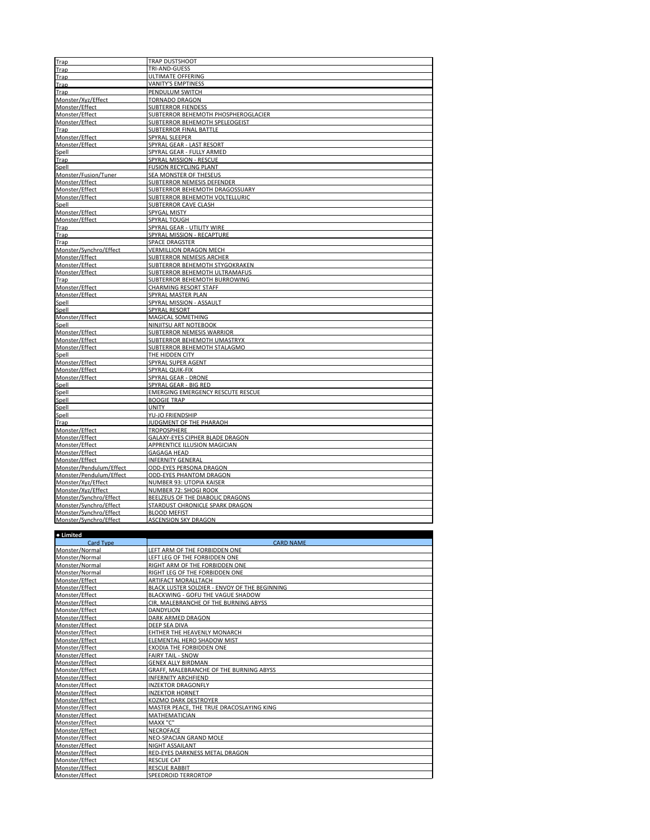| Trap                    | TRAP DUSTSHOOT                             |
|-------------------------|--------------------------------------------|
| Trap                    | TRI-AND-GUESS                              |
| Trap                    | ULTIMATE OFFERING                          |
|                         | <b>VANITY'S EMPTINESS</b>                  |
| Trap<br>Trap            | PENDULUM SWITCH                            |
| Monster/Xyz/Effect      | <b>TORNADO DRAGON</b>                      |
| Monster/Effect          | <b>SUBTERROR FIENDESS</b>                  |
| Monster/Effect          | <b>SUBTERROR BEHEMOTH PHOSPHEROGLACIER</b> |
| Monster/Effect          | SUBTERROR BEHEMOTH SPELEOGEIST             |
| <b>Trap</b>             | <b>SUBTERROR FINAL BATTLE</b>              |
| Monster/Effect          | SPYRAL SLEEPER                             |
| Monster/Effect          | SPYRAL GEAR - LAST RESORT                  |
|                         | SPYRAL GEAR - FULLY ARMED                  |
| Spell<br>Trap           | SPYRAL MISSION - RESCUE                    |
| Spell                   | <b>FUSION RECYCLING PLANT</b>              |
| Monster/Fusion/Tuner    | SEA MONSTER OF THESEUS                     |
| Monster/Effect          | SUBTERROR NEMESIS DEFENDER                 |
| Monster/Effect          | SUBTERROR BEHEMOTH DRAGOSSUARY             |
| Monster/Effect          | SUBTERROR BEHEMOTH VOLTELLURIC             |
| Spell                   | SUBTERROR CAVE CLASH                       |
| Monster/Effect          | SPYGAL MISTY                               |
| Monster/Effect          | SPYRAL TOUGH                               |
| Trap                    | SPYRAL GEAR - UTILITY WIRE                 |
| Trap                    | SPYRAL MISSION - RECAPTURE                 |
| Trap                    | SPACE DRAGSTER                             |
| Monster/Synchro/Effect  | <b>VERMILLION DRAGON MECH</b>              |
| Monster/Effect          | SUBTERROR NEMESIS ARCHER                   |
| Monster/Effect          | SUBTERROR BEHEMOTH STYGOKRAKEN             |
| Monster/Effect          | <b>SUBTERROR BEHEMOTH ULTRAMAFUS</b>       |
| Trap                    | SUBTERROR BEHEMOTH BURROWING               |
| Monster/Effect          | <b>CHARMING RESORT STAFF</b>               |
| Monster/Effect          | SPYRAL MASTER PLAN                         |
|                         | SPYRAL MISSION - ASSAULT                   |
| Spell<br>Spell          | SPYRAL RESORT                              |
| Monster/Effect          | MAGICAL SOMETHING                          |
|                         | NINJITSU ART NOTEBOOK                      |
| Spell<br>Monster/Effect | <b>SUBTERROR NEMESIS WARRIOR</b>           |
| Monster/Effect          | <b>SUBTERROR BEHEMOTH UMASTRYX</b>         |
| Monster/Effect          | SUBTERROR BEHEMOTH STALAGMO                |
| Spell                   | THE HIDDEN CITY                            |
| Monster/Effect          | SPYRAL SUPER AGENT                         |
| Monster/Effect          | SPYRAL QUIK-FIX                            |
| Monster/Effect          | <b>SPYRAL GEAR - DRONE</b>                 |
| Spell                   | SPYRAL GEAR - BIG RED                      |
| Spell                   | <b>EMERGING EMERGENCY RESCUTE RESCUE</b>   |
| Spell                   | <b>BOOGIE TRAP</b>                         |
| Spell                   | <b>UNITY</b>                               |
| Spell                   | YU-JO FRIENDSHIP                           |
| Trap                    | JUDGMENT OF THE PHARAOH                    |
| Monster/Effect          | <b>TROPOSPHERE</b>                         |
| Monster/Effect          | GALAXY-EYES CIPHER BLADE DRAGON            |
| Monster/Effect          | APPRENTICE ILLUSION MAGICIAN               |
| Monster/Effect          | <b>GAGAGA HEAD</b>                         |
| Monster/Effect          | <b>INFERNITY GENERAL</b>                   |
| Monster/Pendulum/Effect | <b>ODD-EYES PERSONA DRAGON</b>             |
| Monster/Pendulum/Effect | <b>ODD-EYES PHANTOM DRAGON</b>             |
| Monster/Xyz/Effect      | NUMBER 93: UTOPIA KAISER                   |
| Monster/Xyz/Effect      | NUMBER 72: SHOGI ROOK                      |
| Monster/Synchro/Effect  | BEELZEUS OF THE DIABOLIC DRAGONS           |
| Monster/Svnchro/Effect  | STARDUST CHRONICLE SPARK DRAGON            |
| Monster/Svnchro/Effect  | <b>BLOOD MEFIST</b>                        |
| Monster/Svnchro/Effect  | <b>ASCENSION SKY DRAGON</b>                |
|                         |                                            |

| • Limited        |                                               |
|------------------|-----------------------------------------------|
| <b>Card Type</b> | <b>CARD NAME</b>                              |
| Monster/Normal   | LEFT ARM OF THE FORBIDDEN ONE                 |
| Monster/Normal   | LEFT LEG OF THE FORBIDDEN ONE                 |
| Monster/Normal   | RIGHT ARM OF THE FORBIDDEN ONE                |
| Monster/Normal   | RIGHT LEG OF THE FORBIDDEN ONE                |
| Monster/Effect   | ARTIFACT MORALLTACH                           |
| Monster/Effect   | BLACK LUSTER SOLDIER - ENVOY OF THE BEGINNING |
| Monster/Effect   | BLACKWING - GOFU THE VAGUE SHADOW             |
| Monster/Effect   | CIR. MALEBRANCHE OF THE BURNING ABYSS         |
| Monster/Effect   | <b>DANDYLION</b>                              |
| Monster/Effect   | <b>DARK ARMED DRAGON</b>                      |
| Monster/Effect   | DEEP SEA DIVA                                 |
| Monster/Effect   | EHTHER THE HEAVENLY MONARCH                   |
| Monster/Effect   | ELEMENTAL HERO SHADOW MIST                    |
| Monster/Effect   | EXODIA THE FORBIDDEN ONE                      |
| Monster/Effect   | <b>FAIRY TAIL - SNOW</b>                      |
| Monster/Effect   | <b>GENEX ALLY BIRDMAN</b>                     |
| Monster/Effect   | GRAFF, MALEBRANCHE OF THE BURNING ABYSS       |
| Monster/Effect   | <b>INFERNITY ARCHFIEND</b>                    |
| Monster/Effect   | <b>INZEKTOR DRAGONFLY</b>                     |
| Monster/Effect   | <b>INZEKTOR HORNET</b>                        |
| Monster/Effect   | KOZMO DARK DESTROYER                          |
| Monster/Effect   | MASTER PEACE. THE TRUE DRACOSLAYING KING      |
| Monster/Effect   | <b>MATHEMATICIAN</b>                          |
| Monster/Effect   | MAXX "C"                                      |
| Monster/Effect   | <b>NECROFACE</b>                              |
| Monster/Effect   | NEO-SPACIAN GRAND MOLE                        |
| Monster/Effect   | NIGHT ASSAILANT                               |
| Monster/Effect   | RED-EYES DARKNESS METAL DRAGON                |
| Monster/Effect   | <b>RESCUE CAT</b>                             |
| Monster/Effect   | <b>RESCUE RABBIT</b>                          |
| Monster/Effect   | <b>SPEEDROID TERRORTOP</b>                    |